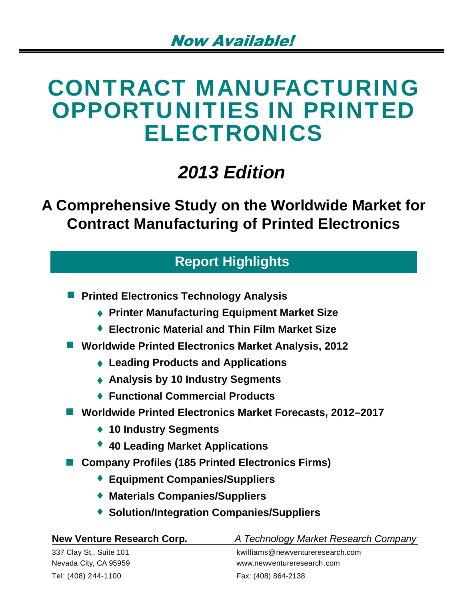# CONTRACT MANUFACTURING OPPORTUNITIES IN PRINTED ELECTRONICS

# *2013 Edition*

# **A Comprehensive Study on the Worldwide Market for Contract Manufacturing of Printed Electronics**

# **Report Highlights**

**Printed Electronics Technology Analysis** 

- **Printer Manufacturing Equipment Market Size**
- **Electronic Material and Thin Film Market Size**
- **Worldwide Printed Electronics Market Analysis, 2012**
	- **Leading Products and Applications**
	- **Analysis by 10 Industry Segments**
	- **Functional Commercial Products**
- **Worldwide Printed Electronics Market Forecasts, 2012–2017**
	- **10 Industry Segments**
	- **40 Leading Market Applications**
- Company Profiles (185 Printed Electronics Firms)
	- **Equipment Companies/Suppliers**
	- **Materials Companies/Suppliers**
	- **Solution/Integration Companies/Suppliers**

| New Venture Research Corp. | A Technology Market Research Company |
|----------------------------|--------------------------------------|
| 337 Clay St., Suite 101    | kwilliams@newventureresearch.com     |
| Nevada City, CA 95959      | www.newventureresearch.com           |
| Tel: (408) 244-1100        | Fax: (408) 864-2138                  |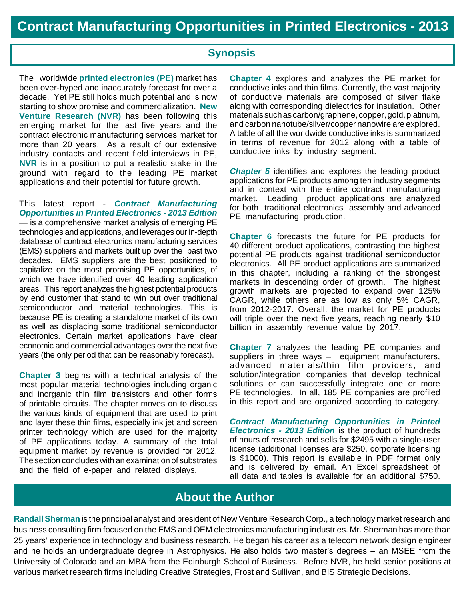## **Synopsis**

The worldwide **printed electronics (PE)** market has been over-hyped and inaccurately forecast for over a decade. Yet PE still holds much potential and is now starting to show promise and commercialization. **New Venture Research (NVR)** has been following this emerging market for the last five years and the contract electronic manufacturing services market for more than 20 years. As a result of our extensive industry contacts and recent field interviews in PE, **NVR** is in a position to put a realistic stake in the ground with regard to the leading PE market applications and their potential for future growth.

This latest report - *Contract Manufacturing Opportunities in Printed Electronics - 2013 Edition*  — is a comprehensive market analysis of emerging PE technologies and applications, and leverages our in-depth database of contract electronics manufacturing services (EMS) suppliers and markets built up over the past two decades. EMS suppliers are the best positioned to capitalize on the most promising PE opportunities, of which we have identified over 40 leading application areas. This report analyzes the highest potential products by end customer that stand to win out over traditional semiconductor and material technologies. This is because PE is creating a standalone market of its own as well as displacing some traditional semiconductor electronics. Certain market applications have clear economic and commercial advantages over the next five years (the only period that can be reasonably forecast).

**Chapter 3** begins with a technical analysis of the most popular material technologies including organic and inorganic thin film transistors and other forms of printable circuits. The chapter moves on to discuss the various kinds of equipment that are used to print and layer these thin films, especially ink jet and screen printer technology which are used for the majority of PE applications today. A summary of the total equipment market by revenue is provided for 2012. The section concludes with an examination of substrates and the field of e-paper and related displays.

**Chapter 4** explores and analyzes the PE market for conductive inks and thin films. Currently, the vast majority of conductive materials are composed of silver flake along with corresponding dielectrics for insulation. Other materials such as carbon/graphene, copper, gold, platinum, and carbon nanotube/silver/copper nanowire are explored. A table of all the worldwide conductive inks is summarized in terms of revenue for 2012 along with a table of conductive inks by industry segment.

*Chapter 5* identifies and explores the leading product applications for PE products among ten industry segments and in context with the entire contract manufacturing market. Leading product applications are analyzed for both traditional electronics assembly and advanced PE manufacturing production.

**Chapter 6** forecasts the future for PE products for 40 different product applications, contrasting the highest potential PE products against traditional semiconductor electronics. All PE product applications are summarized in this chapter, including a ranking of the strongest markets in descending order of growth. The highest growth markets are projected to expand over 125% CAGR, while others are as low as only 5% CAGR, from 2012-2017. Overall, the market for PE products will triple over the next five years, reaching nearly \$10 billion in assembly revenue value by 2017.

**Chapter 7** analyzes the leading PE companies and suppliers in three ways – equipment manufacturers, advanced materials/thin film providers, and solution/integration companies that develop technical solutions or can successfully integrate one or more PE technologies. In all, 185 PE companies are profiled in this report and are organized according to category.

*Contract Manufacturing Opportunities in Printed Electronics - 2013 Edition* is the product of hundreds of hours of research and sells for \$2495 with a single-user license (additional licenses are \$250, corporate licensing is \$1000). This report is available in PDF format only and is delivered by email. An Excel spreadsheet of all data and tables is available for an additional \$750.

## **About the Author**

**Randall Sherman** is the principal analyst and president of New Venture Research Corp., a technology market research and business consulting firm focused on the EMS and OEM electronics manufacturing industries. Mr. Sherman has more than 25 years' experience in technology and business research. He began his career as a telecom network design engineer and he holds an undergraduate degree in Astrophysics. He also holds two master's degrees – an MSEE from the University of Colorado and an MBA from the Edinburgh School of Business. Before NVR, he held senior positions at various market research firms including Creative Strategies, Frost and Sullivan, and BIS Strategic Decisions.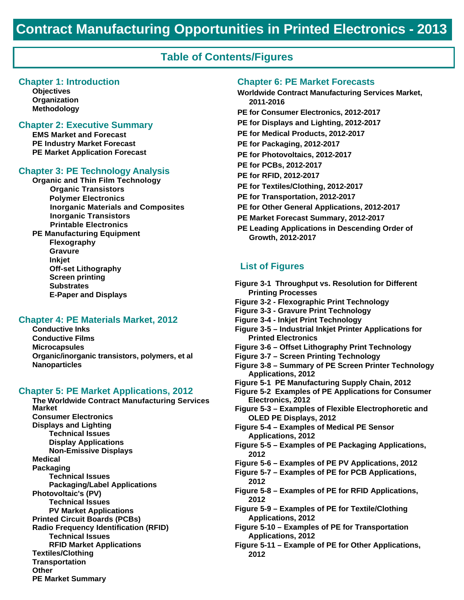### **Table of Contents/Figures**

#### **Chapter 1: Introduction**

**Objectives Organization Methodology**

#### **Chapter 2: Executive Summary**

**EMS Market and Forecast PE Industry Market Forecast PE Market Application Forecast**

#### **Chapter 3: PE Technology Analysis**

**Organic and Thin Film Technology Organic Transistors Polymer Electronics Inorganic Materials and Composites Inorganic Transistors Printable Electronics PE Manufacturing Equipment Flexography Gravure Inkjet Off-set Lithography Screen printing Substrates E-Paper and Displays**

#### **Chapter 4: PE Materials Market, 2012**

**Conductive Inks Conductive Films Microcapsules Organic/inorganic transistors, polymers, et al Nanoparticles**

#### **Chapter 5: PE Market Applications, 2012**

**The Worldwide Contract Manufacturing Services Market Consumer Electronics Displays and Lighting Technical Issues Display Applications Non-Emissive Displays Medical Packaging Technical Issues Packaging/Label Applications Photovoltaic's (PV) Technical Issues PV Market Applications Printed Circuit Boards (PCBs) Radio Frequency Identification (RFID) Technical Issues RFID Market Applications Textiles/Clothing Transportation Other PE Market Summary**

#### **Chapter 6: PE Market Forecasts**

- **Worldwide Contract Manufacturing Services Market, 2011-2016 PE for Consumer Electronics, 2012-2017 PE for Displays and Lighting, 2012-2017 PE for Medical Products, 2012-2017 PE for Packaging, 2012-2017 PE for Photovoltaics, 2012-2017 PE for PCBs, 2012-2017 PE for RFID, 2012-2017 PE for Textiles/Clothing, 2012-2017 PE for Transportation, 2012-2017 PE for Other General Applications, 2012-2017 PE Market Forecast Summary, 2012-2017**
	- **PE Leading Applications in Descending Order of Growth, 2012-2017**

#### **List of Figures**

- **Figure 3-1 Throughput vs. Resolution for Different Printing Processes**
- **Figure 3-2 Flexographic Print Technology**
- **Figure 3-3 Gravure Print Technology**
- **Figure 3-4 Inkjet Print Technology**
- **Figure 3-5 Industrial Inkjet Printer Applications for Printed Electronics**
- **Figure 3-6 Offset Lithography Print Technology**
- **Figure 3-7 Screen Printing Technology**
- **Figure 3-8 Summary of PE Screen Printer Technology Applications, 2012**
- **Figure 5-1 PE Manufacturing Supply Chain, 2012**
- **Figure 5-2 Examples of PE Applications for Consumer Electronics, 2012**
- **Figure 5-3 Examples of Flexible Electrophoretic and OLED PE Displays, 2012**
- **Figure 5-4 Examples of Medical PE Sensor Applications, 2012**
- **Figure 5-5 Examples of PE Packaging Applications, 2012**
- **Figure 5-6 Examples of PE PV Applications, 2012**
- **Figure 5-7 Examples of PE for PCB Applications, 2012**
- **Figure 5-8 Examples of PE for RFID Applications, 2012**
- **Figure 5-9 Examples of PE for Textile/Clothing Applications, 2012**
- **Figure 5-10 Examples of PE for Transportation Applications, 2012**
- **Figure 5-11 Example of PE for Other Applications, 2012**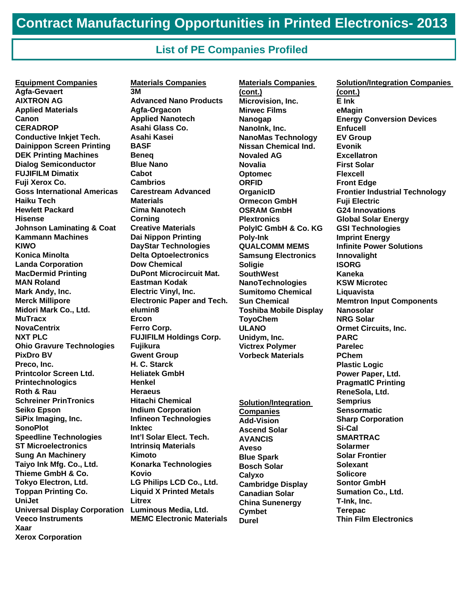### **List of PE Companies Profiled**

**Equipment Companies Agfa-Gevaert AIXTRON AG Applied Materials Canon CERADROP Conductive Inkjet Tech. Dainippon Screen Printing DEK Printing Machines Dialog Semiconductor FUJIFILM Dimatix Fuji Xerox Co. Goss International Americas Haiku Tech Hewlett Packard Hisense Johnson Laminating & Coat Kammann Machines KIWO Konica Minolta Landa Corporation MacDermid Printing MAN Roland Mark Andy, Inc. Merck Millipore Midori Mark Co., Ltd. MuTracx NovaCentrix NXT PLC Ohio Gravure Technologies PixDro BV Preco, Inc. Printcolor Screen Ltd. Printechnologics Roth & Rau Schreiner PrinTronics Seiko Epson SiPix Imaging, Inc. SonoPlot Speedline Technologies ST Microelectronics Sung An Machinery Taiyo Ink Mfg. Co., Ltd. Thieme GmbH & Co. Tokyo Electron, Ltd. Toppan Printing Co. UniJet Universal Display Corporation Veeco Instruments Xaar Xerox Corporation** 

**Materials Companies 3M Advanced Nano Products Agfa-Orgacon Applied Nanotech Asahi Glass Co. Asahi Kasei BASF Beneq Blue Nano Cabot Cambrios Carestream Advanced Materials Cima Nanotech Corning Creative Materials Dai Nippon Printing DayStar Technologies Delta Optoelectronics Dow Chemical DuPont Microcircuit Mat. Eastman Kodak Electric Vinyl, Inc. Electronic Paper and Tech. elumin8 Ercon Ferro Corp. FUJIFILM Holdings Corp. Fujikura Gwent Group H. C. Starck Heliatek GmbH Henkel Heraeus Hitachi Chemical Indium Corporation Infineon Technologies Inktec Int'l Solar Elect. Tech. Intrinsiq Materials Kimoto Konarka Technologies Kovio LG Philips LCD Co., Ltd. Liquid X Printed Metals Litrex Luminous Media, Ltd. MEMC Electronic Materials**

**Materials Companies (cont.) Microvision, Inc. Mirwec Films Nanogap NanoInk, Inc. NanoMas Technology Nissan Chemical Ind. Novaled AG Novalia Optomec ORFID OrganicID Ormecon GmbH OSRAM GmbH Plextronics PolyIC GmbH & Co. KG Poly-Ink QUALCOMM MEMS Samsung Electronics Soligie SouthWest NanoTechnologies Sumitomo Chemical Sun Chemical Toshiba Mobile Display ToyoChem ULANO Unidym, Inc. Victrex Polymer Vorbeck Materials Solution/Integration Companies Add-Vision Ascend Solar AVANCIS Aveso Blue Spark Bosch Solar** 

**Calyxo** 

**Cymbet Durel** 

**Cambridge Display Canadian Solar China Sunenergy**

**Solution/Integration Companies (cont.) E Ink eMagin Energy Conversion Devices Enfucell EV Group Evonik Excellatron First Solar Flexcell Front Edge Frontier Industrial Technology Fuji Electric G24 Innovations Global Solar Energy GSI Technologies Imprint Energy Infinite Power Solutions Innovalight ISORG Kaneka KSW Microtec Liquavista Memtron Input Components Nanosolar NRG Solar Ormet Circuits, Inc. PARC Parelec PChem Plastic Logic Power Paper, Ltd. PragmatIC Printing ReneSola, Ltd. Semprius Sensormatic Sharp Corporation Si-Cal SMARTRAC Solarmer Solar Frontier Solexant Solicore Sontor GmbH Sumation Co., Ltd. T-Ink, Inc. Terepac Thin Film Electronics**